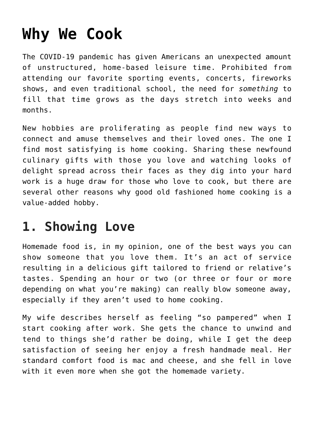# **[Why We Cook](https://intellectualtakeout.org/2020/09/why-we-cook/)**

The COVID-19 pandemic has given Americans an unexpected amount of unstructured, home-based leisure time. Prohibited from attending our favorite sporting events, concerts, fireworks shows, and even traditional school, the need for *something* to fill that time grows as the days stretch into weeks and months.

New hobbies are proliferating as people find new ways to connect and amuse themselves and their loved ones. The one I find most satisfying is home cooking. Sharing these newfound culinary gifts with those you love and watching looks of delight spread across their faces as they dig into your hard work is a huge draw for those who love to cook, but there are several other reasons why good old fashioned home cooking is a value-added hobby.

### **1. Showing Love**

Homemade food is, in my opinion, one of the best ways you can show someone that you love them. It's an act of service resulting in a delicious gift tailored to friend or relative's tastes. Spending an hour or two (or three or four or more depending on what you're making) can really blow someone away, especially if they aren't used to home cooking.

My wife describes herself as feeling "so pampered" when I start cooking after work. She gets the chance to unwind and tend to things she'd rather be doing, while I get the deep satisfaction of seeing her enjoy a fresh handmade meal. Her standard comfort food is mac and cheese, and she fell in love with it even more when she got the homemade variety.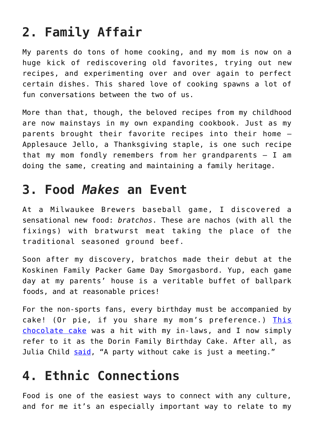## **2. Family Affair**

My parents do tons of home cooking, and my mom is now on a huge kick of rediscovering old favorites, trying out new recipes, and experimenting over and over again to perfect certain dishes. This shared love of cooking spawns a lot of fun conversations between the two of us.

More than that, though, the beloved recipes from my childhood are now mainstays in my own expanding cookbook. Just as my parents brought their favorite recipes into their home – Applesauce Jello, a Thanksgiving staple, is one such recipe that my mom fondly remembers from her grandparents – I am doing the same, creating and maintaining a family heritage.

#### **3. Food** *Makes* **an Event**

At a Milwaukee Brewers baseball game, I discovered a sensational new food: *bratchos*. These are nachos (with all the fixings) with bratwurst meat taking the place of the traditional seasoned ground beef.

Soon after my discovery, bratchos made their debut at the Koskinen Family Packer Game Day Smorgasbord. Yup, each game day at my parents' house is a veritable buffet of ballpark foods, and at reasonable prices!

For the non-sports fans, every birthday must be accompanied by cake! (Or pie, if you share my mom's preference.) [This](https://addapinch.com/perfect-chocolate-buttercream-frosting-recipe/) [chocolate cake](https://addapinch.com/perfect-chocolate-buttercream-frosting-recipe/) was a hit with my in-laws, and I now simply refer to it as the Dorin Family Birthday Cake. After all, as Julia Child [said,](https://www.tasteofhome.com/article/julia-child-quotes/) "A party without cake is just a meeting."

## **4. Ethnic Connections**

Food is one of the easiest ways to connect with any culture, and for me it's an especially important way to relate to my